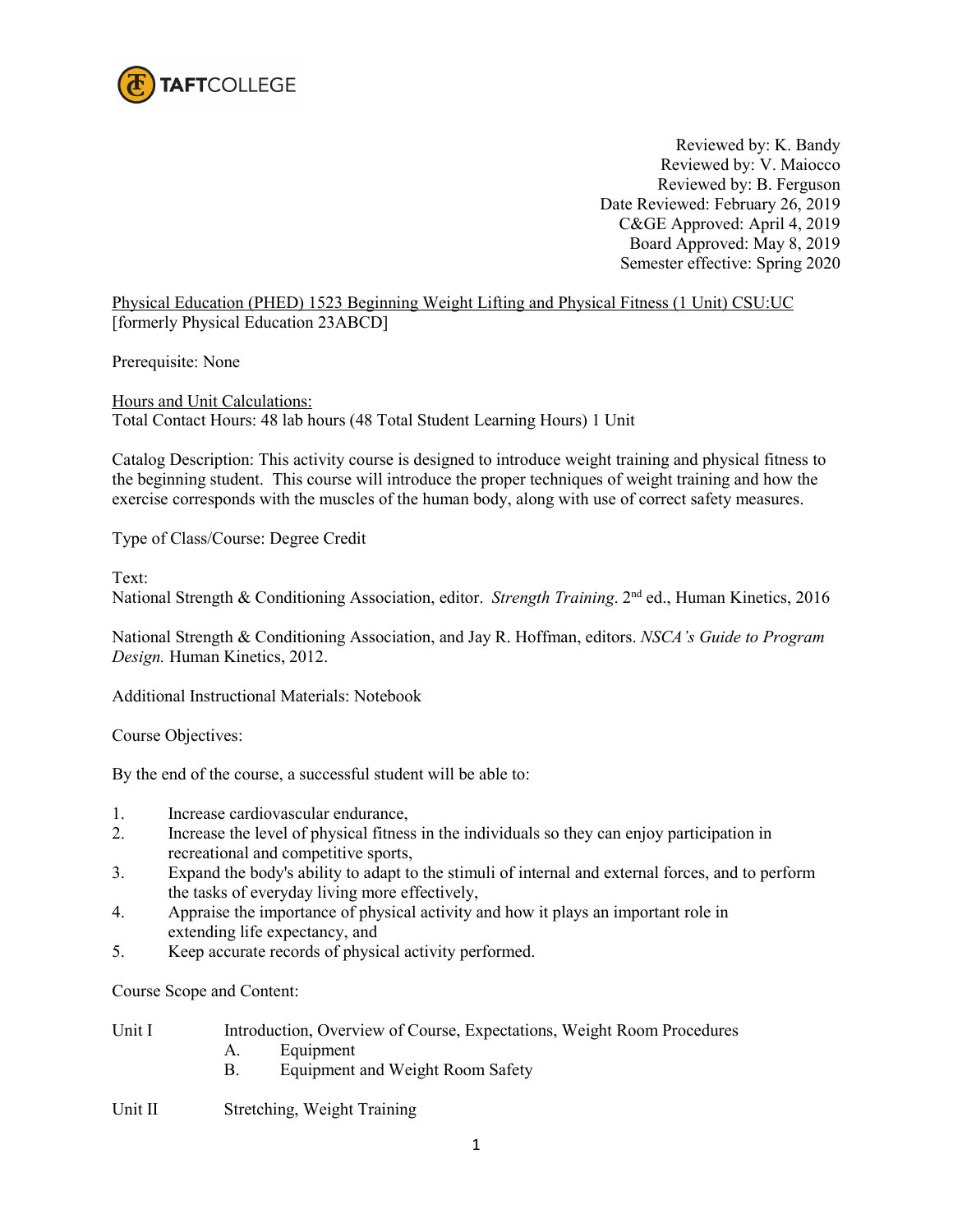

Reviewed by: K. Bandy Reviewed by: V. Maiocco Reviewed by: B. Ferguson Date Reviewed: February 26, 2019 C&GE Approved: April 4, 2019 Board Approved: May 8, 2019 Semester effective: Spring 2020

Physical Education (PHED) 1523 Beginning Weight Lifting and Physical Fitness (1 Unit) CSU:UC [formerly Physical Education 23ABCD]

Prerequisite: None

Hours and Unit Calculations: Total Contact Hours: 48 lab hours (48 Total Student Learning Hours) 1 Unit

Catalog Description: This activity course is designed to introduce weight training and physical fitness to the beginning student. This course will introduce the proper techniques of weight training and how the exercise corresponds with the muscles of the human body, along with use of correct safety measures.

Type of Class/Course: Degree Credit

Text:

National Strength & Conditioning Association, editor. *Strength Training*. 2nd ed., Human Kinetics, 2016

National Strength & Conditioning Association, and Jay R. Hoffman, editors. *NSCA's Guide to Program Design.* Human Kinetics, 2012.

Additional Instructional Materials: Notebook

Course Objectives:

By the end of the course, a successful student will be able to:

- 1. Increase cardiovascular endurance,
- 2. Increase the level of physical fitness in the individuals so they can enjoy participation in recreational and competitive sports,
- 3. Expand the body's ability to adapt to the stimuli of internal and external forces, and to perform the tasks of everyday living more effectively,
- 4. Appraise the importance of physical activity and how it plays an important role in extending life expectancy, and
- 5. Keep accurate records of physical activity performed.

Course Scope and Content:

| Unit I | Introduction, Overview of Course, Expectations, Weight Room Procedures |  |
|--------|------------------------------------------------------------------------|--|
|        | Equipment                                                              |  |

B. Equipment and Weight Room Safety

Unit II Stretching, Weight Training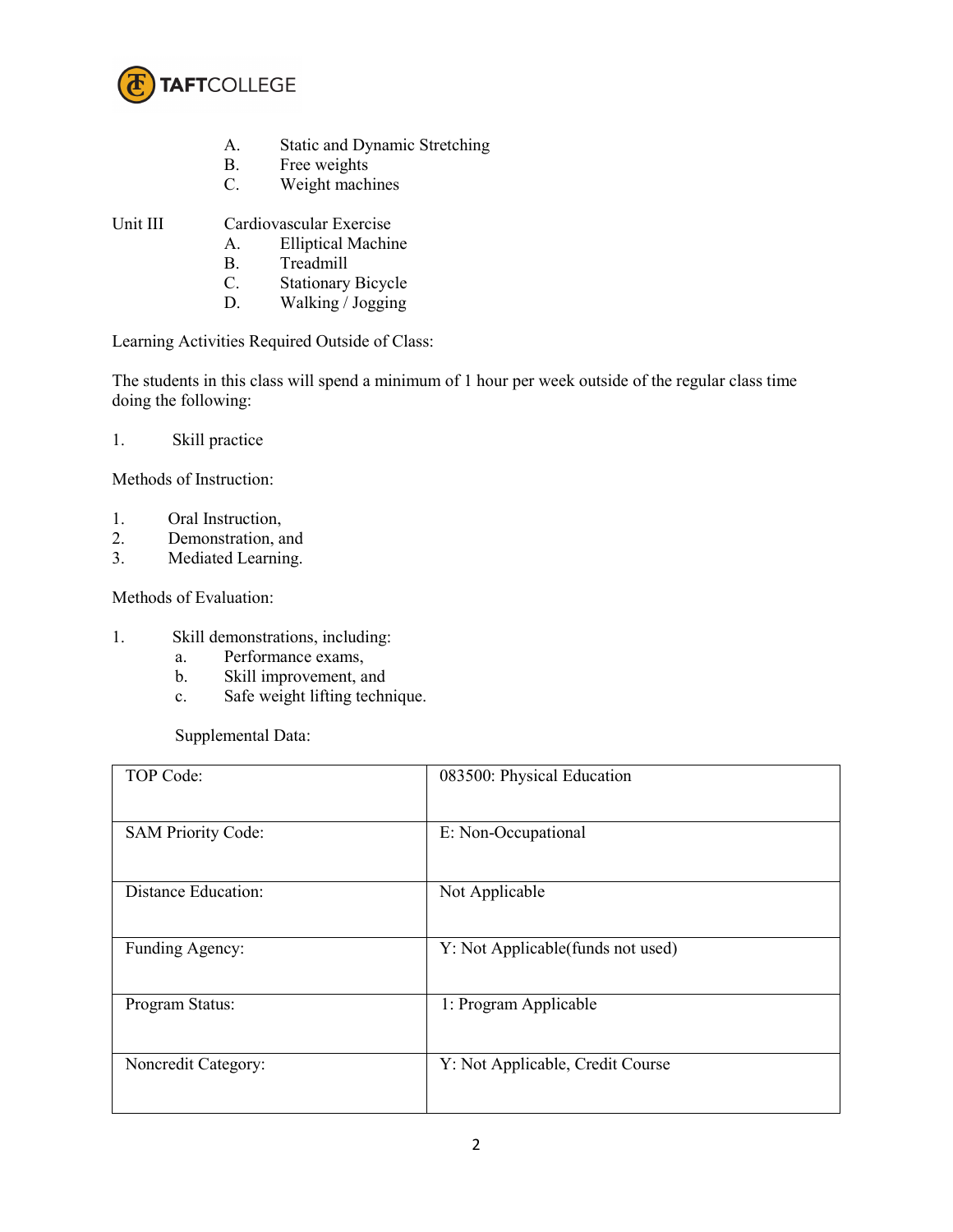

- A. Static and Dynamic Stretching
- B. Free weights
- C. Weight machines

Unit III Cardiovascular Exercise

- A. Elliptical Machine
- B. Treadmill<br>C. Stationary
- C. Stationary Bicycle<br>D. Walking / Jogging
- Walking / Jogging

Learning Activities Required Outside of Class:

The students in this class will spend a minimum of 1 hour per week outside of the regular class time doing the following:

1. Skill practice

Methods of Instruction:

- 1. Oral Instruction,
- 2. Demonstration, and<br>3. Mediated Learning.
- Mediated Learning.

Methods of Evaluation:

- 1. Skill demonstrations, including:
	- a. Performance exams,<br>b. Skill improvement, a
	- Skill improvement, and
	- c. Safe weight lifting technique.

Supplemental Data:

| TOP Code:                  | 083500: Physical Education         |
|----------------------------|------------------------------------|
| <b>SAM Priority Code:</b>  | E: Non-Occupational                |
| <b>Distance Education:</b> | Not Applicable                     |
| Funding Agency:            | Y: Not Applicable (funds not used) |
| Program Status:            | 1: Program Applicable              |
| Noncredit Category:        | Y: Not Applicable, Credit Course   |